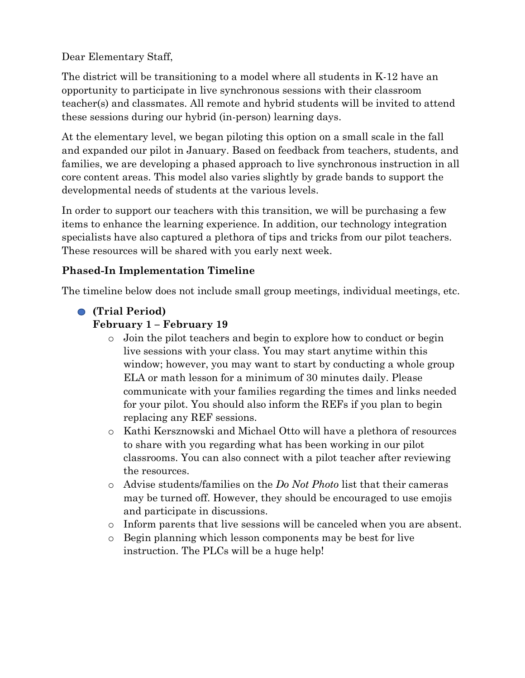Dear Elementary Staff,

The district will be transitioning to a model where all students in K-12 have an opportunity to participate in live synchronous sessions with their classroom teacher(s) and classmates. All remote and hybrid students will be invited to attend these sessions during our hybrid (in-person) learning days.

At the elementary level, we began piloting this option on a small scale in the fall and expanded our pilot in January. Based on feedback from teachers, students, and families, we are developing a phased approach to live synchronous instruction in all core content areas. This model also varies slightly by grade bands to support the developmental needs of students at the various levels.

In order to support our teachers with this transition, we will be purchasing a few items to enhance the learning experience. In addition, our technology integration specialists have also captured a plethora of tips and tricks from our pilot teachers. These resources will be shared with you early next week.

# **Phased-In Implementation Timeline**

The timeline below does not include small group meetings, individual meetings, etc.

## o **(Trial Period)**

## **February 1 – February 19**

- o Join the pilot teachers and begin to explore how to conduct or begin live sessions with your class. You may start anytime within this window; however, you may want to start by conducting a whole group ELA or math lesson for a minimum of 30 minutes daily. Please communicate with your families regarding the times and links needed for your pilot. You should also inform the REFs if you plan to begin replacing any REF sessions.
- o Kathi Kersznowski and Michael Otto will have a plethora of resources to share with you regarding what has been working in our pilot classrooms. You can also connect with a pilot teacher after reviewing the resources.
- o Advise students/families on the *Do Not Photo* list that their cameras may be turned off. However, they should be encouraged to use emojis and participate in discussions.
- o Inform parents that live sessions will be canceled when you are absent.
- o Begin planning which lesson components may be best for live instruction. The PLCs will be a huge help!